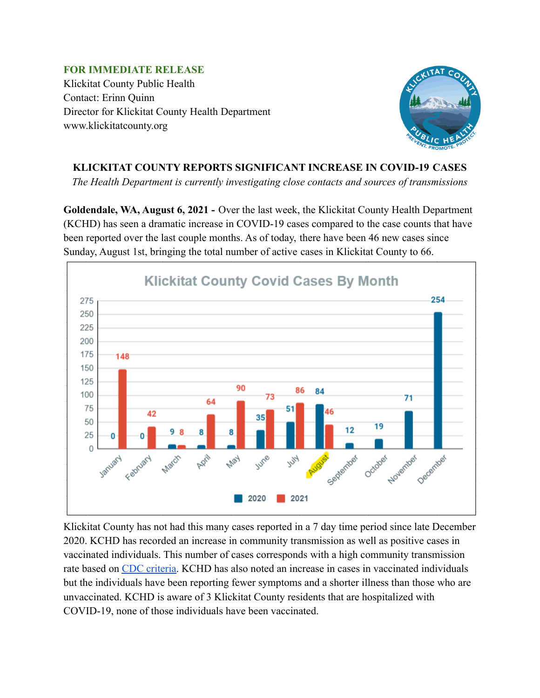**FOR IMMEDIATE RELEASE** Klickitat County Public Health Contact: Erinn Quinn Director for Klickitat County Health Department www.klickitatcounty.org



## **KLICKITAT COUNTY REPORTS SIGNIFICANT INCREASE IN COVID-19 CASES**

*The Health Department is currently investigating close contacts and sources of transmissions*

**Goldendale, WA, August 6, 2021 -** Over the last week, the Klickitat County Health Department (KCHD) has seen a dramatic increase in COVID-19 cases compared to the case counts that have been reported over the last couple months. As of today, there have been 46 new cases since Sunday, August 1st, bringing the total number of active cases in Klickitat County to 66.



Klickitat County has not had this many cases reported in a 7 day time period since late December 2020. KCHD has recorded an increase in community transmission as well as positive cases in vaccinated individuals. This number of cases corresponds with a high community transmission rate based on [CDC criteria.](https://covid.cdc.gov/covid-data-tracker/#county-view) KCHD has also noted an increase in cases in vaccinated individuals but the individuals have been reporting fewer symptoms and a shorter illness than those who are unvaccinated. KCHD is aware of 3 Klickitat County residents that are hospitalized with COVID-19, none of those individuals have been vaccinated.